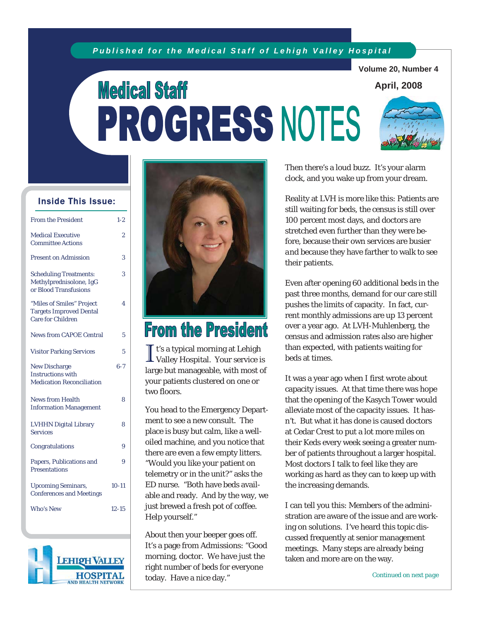### *Published for the Medical Staff of Lehigh Valley Hospital*

**Volume 20, Number 4** 

### **April, 2008**

# **Medical Staff** PROGRESS NOTES



### Inside This Issue:

| <b>From the President</b>                                                               | $1 - 2$   |
|-----------------------------------------------------------------------------------------|-----------|
| <b>Medical Executive</b><br><b>Committee Actions</b>                                    | 2         |
| <b>Present on Admission</b>                                                             | 3         |
| <b>Scheduling Treatments:</b><br>Methylprednisolone, IgG<br>or Blood Transfusions       | 3         |
| "Miles of Smiles" Project<br><b>Targets Improved Dental</b><br><b>Care for Children</b> | 4         |
| <b>News from CAPOE Central</b>                                                          | 5         |
| <b>Visitor Parking Services</b>                                                         | 5         |
| <b>New Discharge</b><br><b>Instructions with</b><br><b>Medication Reconciliation</b>    | $6 - 7$   |
| <b>News from Health</b><br><b>Information Management</b>                                | 8         |
| <b>LVHHN Digital Library</b><br><b>Services</b>                                         | 8         |
| Congratulations                                                                         | 9         |
| Papers, Publications and<br><b>Presentations</b>                                        | 9         |
| <b>Upcoming Seminars,</b><br><b>Conferences and Meetings</b>                            | $10 - 11$ |
| Who's New                                                                               | $12 - 15$ |





# **From the President**

I t's a typical morning at Lehigh Valley Hospital. Your service is large but manageable, with most of your patients clustered on one or two floors.

You head to the Emergency Department to see a new consult. The place is busy but calm, like a welloiled machine, and you notice that there are even a few empty litters. "Would you like your patient on telemetry or in the unit?" asks the ED nurse. "Both have beds available and ready. And by the way, we just brewed a fresh pot of coffee. Help yourself."

About then your beeper goes off. It's a page from Admissions: "Good morning, doctor. We have just the right number of beds for everyone today. Have a nice day."

Then there's a loud buzz. It's your alarm clock, and you wake up from your dream.

Reality at LVH is more like this: Patients are still waiting for beds, the census is still over 100 percent most days, and doctors are stretched even further than they were before, because their own services are busier *and* because they have farther to walk to see their patients.

Even after opening 60 additional beds in the past three months, demand for our care still pushes the limits of capacity. In fact, current monthly admissions are up 13 percent over a year ago. At LVH-Muhlenberg, the census and admission rates also are higher than expected, with patients waiting for beds at times.

It was a year ago when I first wrote about capacity issues. At that time there was hope that the opening of the Kasych Tower would alleviate most of the capacity issues. It hasn't. But what it has done is caused doctors at Cedar Crest to put a lot more miles on their Keds every week seeing a greater number of patients throughout a larger hospital. Most doctors I talk to feel like they are working as hard as they can to keep up with the increasing demands.

I can tell you this: Members of the administration are aware of the issue and are working on solutions. I've heard this topic discussed frequently at senior management meetings. Many steps are already being taken and more are on the way.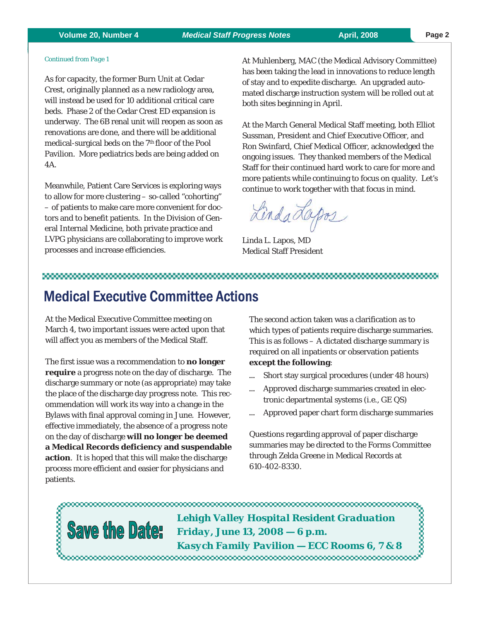### **Volume 20, Number 4** *Medical Staff Progress Notes* **April, 2008 Page 2**

#### *Continued from Page 1*

As for capacity, the former Burn Unit at Cedar Crest, originally planned as a new radiology area, will instead be used for 10 additional critical care beds. Phase 2 of the Cedar Crest ED expansion is underway. The 6B renal unit will reopen as soon as renovations are done, and there will be additional medical-surgical beds on the 7<sup>th</sup> floor of the Pool Pavilion. More pediatrics beds are being added on 4A.

Meanwhile, Patient Care Services is exploring ways to allow for more clustering – so-called "cohorting" – of patients to make care more convenient for doctors and to benefit patients. In the Division of General Internal Medicine, both private practice and LVPG physicians are collaborating to improve work processes and increase efficiencies.

At Muhlenberg, MAC (the Medical Advisory Committee) has been taking the lead in innovations to reduce length of stay and to expedite discharge. An upgraded automated discharge instruction system will be rolled out at both sites beginning in April.

At the March General Medical Staff meeting, both Elliot Sussman, President and Chief Executive Officer, and Ron Swinfard, Chief Medical Officer, acknowledged the ongoing issues. They thanked members of the Medical Staff for their continued hard work to care for more and more patients while continuing to focus on quality. Let's continue to work together with that focus in mind.

Lindadapos

Linda L. Lapos, MD Medical Staff President

### 

# Medical Executive Committee Actions

At the Medical Executive Committee meeting on March 4, two important issues were acted upon that will affect you as members of the Medical Staff.

The first issue was a recommendation to **no longer require** a progress note on the day of discharge. The discharge summary or note (as appropriate) may take the place of the discharge day progress note. This recommendation will work its way into a change in the Bylaws with final approval coming in June. However, effective immediately, the absence of a progress note on the day of discharge **will no longer be deemed a Medical Records deficiency and suspendable action**. It is hoped that this will make the discharge process more efficient and easier for physicians and patients.

The second action taken was a clarification as to which types of patients require discharge summaries. This is as follows – A dictated discharge summary is required on all inpatients or observation patients **except the following**:

- ... Short stay surgical procedures (under 48 hours)
- Approved discharge summaries created in electronic departmental systems (i.e., GE QS)
- Approved paper chart form discharge summaries

Questions regarding approval of paper discharge summaries may be directed to the Forms Committee through Zelda Greene in Medical Records at 610-402-8330.

,,,,,,,,,,, *Lehigh Valley Hospital Resident Graduation*  **Save the Date:** *Friday, June 13, 2008 — 6 p.m. Kasych Family Pavilion — ECC Rooms 6, 7 & 8*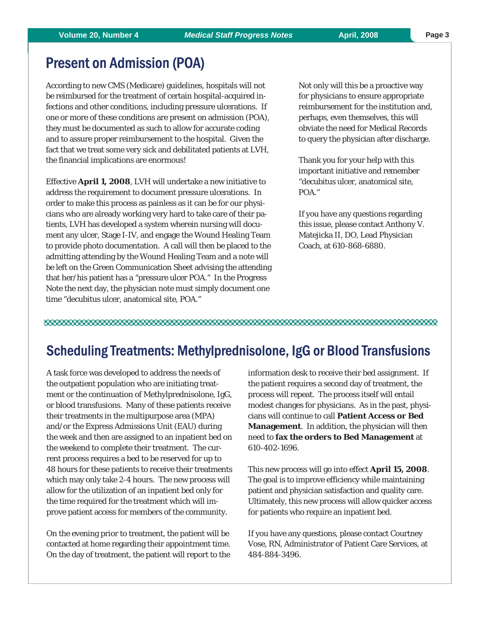# Present on Admission (POA)

According to new CMS (Medicare) guidelines, hospitals will not be reimbursed for the treatment of certain hospital-acquired infections and other conditions, including pressure ulcerations. If one or more of these conditions are present on admission (POA), they must be documented as such to allow for accurate coding and to assure proper reimbursement to the hospital. Given the fact that we treat some very sick and debilitated patients at LVH, the financial implications are enormous!

Effective **April 1, 2008**, LVH will undertake a new initiative to address the requirement to document pressure ulcerations. In order to make this process as painless as it can be for our physicians who are already working very hard to take care of their patients, LVH has developed a system wherein nursing will document any ulcer, Stage I-IV, and engage the Wound Healing Team to provide photo documentation. A call will then be placed to the admitting attending by the Wound Healing Team and a note will be left on the Green Communication Sheet advising the attending that her/his patient has a "pressure ulcer POA." In the Progress Note the next day, the physician note must simply document one time "decubitus ulcer, anatomical site, POA."

Not only will this be a proactive way for physicians to ensure appropriate reimbursement for the institution and, perhaps, even themselves, this will obviate the need for Medical Records to query the physician after discharge.

Thank you for your help with this important initiative and remember "decubitus ulcer, anatomical site, POA."

If you have any questions regarding this issue, please contact Anthony V. Matejicka II, DO, Lead Physician Coach, at 610-868-6880.

#### 

# Scheduling Treatments: Methylprednisolone, IgG or Blood Transfusions

A task force was developed to address the needs of the outpatient population who are initiating treatment or the continuation of Methylprednisolone, IgG, or blood transfusions. Many of these patients receive their treatments in the multipurpose area (MPA) and/or the Express Admissions Unit (EAU) during the week and then are assigned to an inpatient bed on the weekend to complete their treatment. The current process requires a bed to be reserved for up to 48 hours for these patients to receive their treatments which may only take 2-4 hours. The new process will allow for the utilization of an inpatient bed only for the time required for the treatment which will improve patient access for members of the community.

On the evening prior to treatment, the patient will be contacted at home regarding their appointment time. On the day of treatment, the patient will report to the information desk to receive their bed assignment. If the patient requires a second day of treatment, the process will repeat. The process itself will entail modest changes for physicians. As in the past, physicians will continue to call **Patient Access or Bed Management**. In addition, the physician will then need to **fax the orders to Bed Management** at 610-402-1696.

This new process will go into effect **April 15, 2008**. The goal is to improve efficiency while maintaining patient and physician satisfaction and quality care. Ultimately, this new process will allow quicker access for patients who require an inpatient bed.

If you have any questions, please contact Courtney Vose, RN, Administrator of Patient Care Services, at 484-884-3496.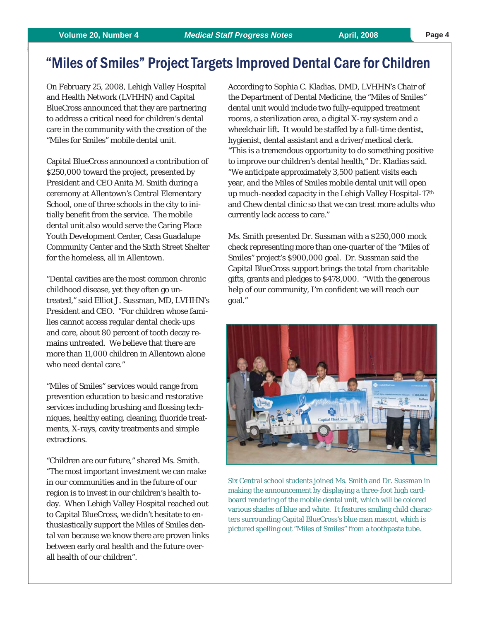# "Miles of Smiles" Project Targets Improved Dental Care for Children

On February 25, 2008, Lehigh Valley Hospital and Health Network (LVHHN) and Capital BlueCross announced that they are partnering to address a critical need for children's dental care in the community with the creation of the "Miles for Smiles" mobile dental unit.

Capital BlueCross announced a contribution of \$250,000 toward the project, presented by President and CEO Anita M. Smith during a ceremony at Allentown's Central Elementary School, one of three schools in the city to initially benefit from the service. The mobile dental unit also would serve the Caring Place Youth Development Center, Casa Guadalupe Community Center and the Sixth Street Shelter for the homeless, all in Allentown.

"Dental cavities are the most common chronic childhood disease, yet they often go untreated," said Elliot J. Sussman, MD, LVHHN's President and CEO. "For children whose families cannot access regular dental check-ups and care, about 80 percent of tooth decay remains untreated. We believe that there are more than 11,000 children in Allentown alone who need dental care."

"Miles of Smiles" services would range from prevention education to basic and restorative services including brushing and flossing techniques, healthy eating, cleaning, fluoride treatments, X-rays, cavity treatments and simple extractions.

"Children are our future," shared Ms. Smith. "The most important investment we can make in our communities and in the future of our region is to invest in our children's health today. When Lehigh Valley Hospital reached out to Capital BlueCross, we didn't hesitate to enthusiastically support the Miles of Smiles dental van because we know there are proven links between early oral health and the future overall health of our children".

According to Sophia C. Kladias, DMD, LVHHN's Chair of the Department of Dental Medicine, the "Miles of Smiles" dental unit would include two fully-equipped treatment rooms, a sterilization area, a digital X-ray system and a wheelchair lift. It would be staffed by a full-time dentist, hygienist, dental assistant and a driver/medical clerk. "This is a tremendous opportunity to do something positive to improve our children's dental health," Dr. Kladias said. "We anticipate approximately 3,500 patient visits each year, and the Miles of Smiles mobile dental unit will open up much-needed capacity in the Lehigh Valley Hospital-17th and Chew dental clinic so that we can treat more adults who currently lack access to care."

Ms. Smith presented Dr. Sussman with a \$250,000 mock check representing more than one-quarter of the "Miles of Smiles" project's \$900,000 goal. Dr. Sussman said the Capital BlueCross support brings the total from charitable gifts, grants and pledges to \$478,000. "With the generous help of our community, I'm confident we will reach our goal."



Six Central school students joined Ms. Smith and Dr. Sussman in making the announcement by displaying a three-foot high cardboard rendering of the mobile dental unit, which will be colored various shades of blue and white. It features smiling child characters surrounding Capital BlueCross's blue man mascot, which is pictured spelling out "Miles of Smiles" from a toothpaste tube.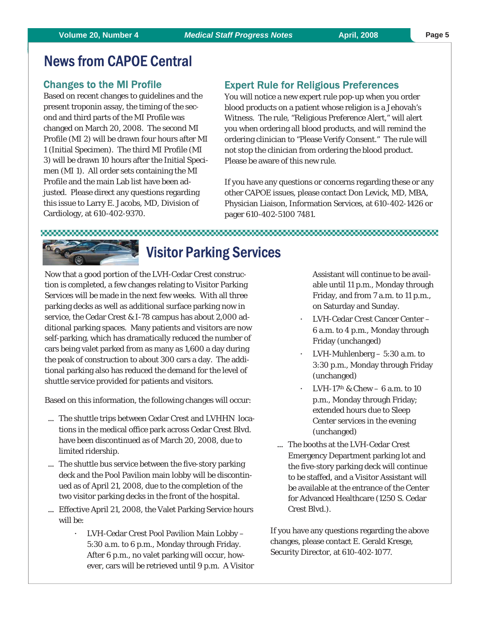# News from CAPOE Central

### Changes to the MI Profile

Based on recent changes to guidelines and the present troponin assay, the timing of the second and third parts of the MI Profile was changed on March 20, 2008. The second MI Profile (MI 2) will be drawn four hours after MI 1 (Initial Specimen). The third MI Profile (MI 3) will be drawn 10 hours after the Initial Specimen (MI 1). All order sets containing the MI Profile and the main Lab list have been adjusted. Please direct any questions regarding this issue to Larry E. Jacobs, MD, Division of Cardiology, at 610-402-9370.

## Expert Rule for Religious Preferences

You will notice a new expert rule pop-up when you order blood products on a patient whose religion is a Jehovah's Witness. The rule, "Religious Preference Alert," will alert you when ordering all blood products, and will remind the ordering clinician to "Please Verify Consent." The rule will not stop the clinician from ordering the blood product. Please be aware of this new rule.

If you have any questions or concerns regarding these or any other CAPOE issues, please contact Don Levick, MD, MBA, Physician Liaison, Information Services, at 610-402-1426 or pager 610-402-5100 7481.

#### 

# Visitor Parking Services

Now that a good portion of the LVH-Cedar Crest construction is completed, a few changes relating to Visitor Parking Services will be made in the next few weeks. With all three parking decks as well as additional surface parking now in service, the Cedar Crest & I-78 campus has about 2,000 additional parking spaces. Many patients and visitors are now self-parking, which has dramatically reduced the number of cars being valet parked from as many as 1,600 a day during the peak of construction to about 300 cars a day. The additional parking also has reduced the demand for the level of shuttle service provided for patients and visitors.

Based on this information, the following changes will occur:

- ... The shuttle trips between Cedar Crest and LVHHN locations in the medical office park across Cedar Crest Blvd. have been discontinued as of March 20, 2008, due to limited ridership.
- ... The shuttle bus service between the five-story parking deck and the Pool Pavilion main lobby will be discontinued as of April 21, 2008, due to the completion of the two visitor parking decks in the front of the hospital.
- ... Effective April 21, 2008, the Valet Parking Service hours will be:
	- ° LVH-Cedar Crest Pool Pavilion Main Lobby 5:30 a.m. to 6 p.m., Monday through Friday. After 6 p.m., no valet parking will occur, however, cars will be retrieved until 9 p.m. A Visitor

Assistant will continue to be available until 11 p.m., Monday through Friday, and from 7 a.m. to 11 p.m., on Saturday and Sunday.

- ° LVH-Cedar Crest Cancer Center 6 a.m. to 4 p.m., Monday through Friday (unchanged)
- LVH-Muhlenberg 5:30 a.m. to 3:30 p.m., Monday through Friday (unchanged)
- LVH-17<sup>th</sup> & Chew 6 a.m. to 10 p.m., Monday through Friday; extended hours due to Sleep Center services in the evening (unchanged)
- ... The booths at the LVH-Cedar Crest Emergency Department parking lot and the five-story parking deck will continue to be staffed, and a Visitor Assistant will be available at the entrance of the Center for Advanced Healthcare (1250 S. Cedar Crest Blvd.).

If you have any questions regarding the above changes, please contact E. Gerald Kresge, Security Director, at 610-402-1077.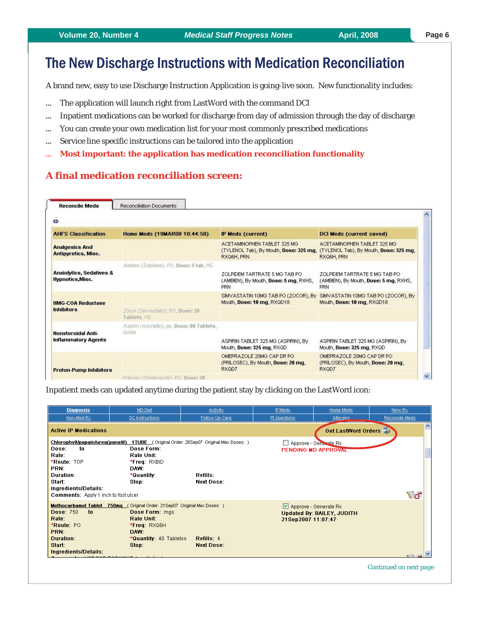# The New Discharge Instructions with Medication Reconciliation

A brand new, easy to use Discharge Instruction Application is going-live soon. New functionality includes:

- ... The application will launch right from LastWord with the command DCI
- ... Inpatient medications can be worked for discharge from day of admission through the day of discharge
- ... You can create your own medication list for your most commonly prescribed medications
- ... Service line specific instructions can be tailored into the application
- **Most important: the application has medication reconciliation functionality**

### **A final medication reconciliation screen:**

| <b>AHFS Classification</b>                              | Home Meds (19MAR08 10:44:50)                     | <b>IP Meds (current)</b>                                                             | <b>DCI Meds (current saved)</b>                                                                                            |
|---------------------------------------------------------|--------------------------------------------------|--------------------------------------------------------------------------------------|----------------------------------------------------------------------------------------------------------------------------|
| <b>Analgesics And</b><br>Antipyretics, Misc.            |                                                  | ACETAMINOPHEN TABLET 325 MG<br>RXQ6H, PRN                                            | ACETAMINOPHEN TABLET 325 MG<br>(TYLENOL Tab), By Mouth, Dose: 325 mg, (TYLENOL Tab), By Mouth, Dose: 325 mg,<br>RXQ6H, PRN |
|                                                         | Ambien (Zolpidem), PO, Dose: 5 tab, HS           |                                                                                      |                                                                                                                            |
| <b>Anxiolytics, Sedatives &amp;</b><br>Hypnotics, Misc. |                                                  | ZOLPIDEM TARTRATE 5 MG TAB PO<br>(AMBIEN), By Mouth, Dose: 5 mg, RXHS,<br><b>PRN</b> | ZOLPIDEM TARTRATE 5 MG TAB PO<br>(AMBIEN), By Mouth, Dose: 5 mg, RXHS,<br>PRN                                              |
| <b>HMG-COA Reductase</b><br><b>Inhibitors</b>           |                                                  | SIMVASTATIN 10MG TAB PO (ZOCOR), By<br>Mouth, Dose: 10 mg, RXQD18                    | SIMVASTATIN 10MG TAB PO (ZOCOR), By<br>Mouth, Dose: 10 mg, RXQD18                                                          |
|                                                         | Zocor (Simvastatin), PO, Dose: 20<br>Tablets, HS |                                                                                      |                                                                                                                            |
|                                                         | Aspirin (Ascriptin), po, Dose: 80 Tablets,       |                                                                                      |                                                                                                                            |
| <b>Nonsteroidal Anti-</b><br><b>Inflammatory Agents</b> | <b>GIAM</b>                                      | ASPIRIN TABLET 325 MG (ASPIRIN), By<br>Mouth, Dose: 325 mg, RXQD                     | ASPIRIN TABLET 325 MG (ASPIRIN), By<br>Mouth, Dose: 325 mg, RXQD                                                           |
| <b>Proton-Pump Inhibitors</b>                           |                                                  | OMEPRAZOLE 20MG CAP DR PO<br>(PRILOSEC), By Mouth, Dose: 20 mg,<br>RXQD7             | OMEPRAZOLE 20MG CAP DR PO<br>(PRILOSEC), By Mouth, Dose: 20 mg,<br>RXQD7                                                   |
|                                                         | Prilosec (Omeprazole), PO. Dose: 20              |                                                                                      |                                                                                                                            |

Inpatient meds can updated anytime during the patient stay by clicking on the LastWord icon:

| <b>Diagnosis</b>                                                                           | <b>MD Diet</b>                                                                                                                                                   | Activity                      | IP Meds                                            | Home Meds                         | New Rx         |
|--------------------------------------------------------------------------------------------|------------------------------------------------------------------------------------------------------------------------------------------------------------------|-------------------------------|----------------------------------------------------|-----------------------------------|----------------|
| Non-Med Rx                                                                                 | DC Instructions                                                                                                                                                  | Follow Up Care                | Pt Questions                                       | <b>Allergies</b>                  | Reconcile Meds |
| <b>Active IP Medications</b>                                                               |                                                                                                                                                                  |                               |                                                    | <b>Get LastWord Orders</b>        |                |
| to<br>Dose:<br>Rate:<br>*Route: TOP<br>PRN:<br>Duration:<br>Start:<br>Ingredients/Details: | Chlorophyll/papain/urea(panafil) 1TUBE (Original Order: 26Sep07 Original Max Doses: )<br>Dose Form:<br>Rate Unit:<br>*Freq: RXBID<br>DAW:<br>*Quantity:<br>Stop: | Refills:<br><b>Next Dose:</b> | Approve - Generate Rx                              | PENDING MD APPROVAL               |                |
| <b>Comments:</b> Apply 1 inch to foot ulcer                                                |                                                                                                                                                                  |                               |                                                    |                                   | ∖⊌ื่ฮ          |
| <b>Dose: 750</b><br>to<br>Rate:<br>*Route: PO<br>PRN:<br><b>Duration:</b>                  | Methocarbamol Tablet 750mg (Original Order: 21Sep07 Original Max Doses: )<br>Dose Form: mgs<br>Rate Unit:<br>*Freq: RXQ6H<br>DAW:<br>*Quantity: 40 Tabletss      | Refills: 4                    | $\vee$ Approve - Generate Rx<br>21Sep2007 11:07:47 | <b>Updated By: BAILEY, JUDITH</b> |                |
| Start:<br>Ingredients/Details:                                                             | Stop:                                                                                                                                                            | <b>Next Dose:</b>             |                                                    |                                   |                |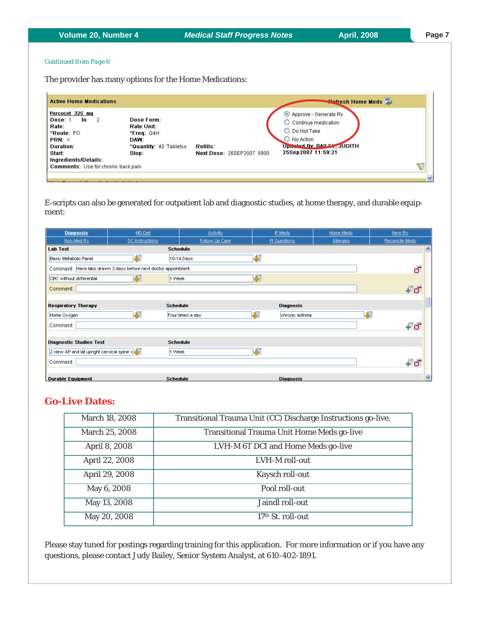**Volume 20, Number 4** *Medical Staff Progress Notes* **April, 2008**

#### *Continued from Page 6*

The provider has many options for the Home Medications:

| <b>Active Home Medications</b>                                                                            |                                                                                      |                                       | <b>Refresh Home Meds</b>                                                                                                           |
|-----------------------------------------------------------------------------------------------------------|--------------------------------------------------------------------------------------|---------------------------------------|------------------------------------------------------------------------------------------------------------------------------------|
| Percocet 325 mg<br>to<br>$\frac{2}{2}$<br>Dose: 1<br>Rate:<br>*Route: PO<br>PRN: Y<br>Duration:<br>Start: | Dose Form:<br>Rate Unit:<br>$*$ Freq: Q4H<br>DAW:<br>*Quantity: 40 Tabletss<br>Stop: | Refills:<br>Next Dose: 26SEP2007 0900 | Approve - Generate Rx<br>○ Continue medication<br>O Do Not Take<br>O No Action<br>Undeted By: BAILEY, JUDITH<br>25Sep2007 11:59:21 |
| Ingredients/Details:<br><b>Comments:</b> Use for chronic back pain                                        |                                                                                      |                                       | v                                                                                                                                  |

E-scripts can also be generated for outpatient lab and diagnostic studies, at home therapy, and durable equipment:

| <b>Diagnosis</b>                             | MD Diet                                                        | Activity         | IP Meds          | Home Meds        | New Rx                  |
|----------------------------------------------|----------------------------------------------------------------|------------------|------------------|------------------|-------------------------|
| Non-Med Rx                                   | DC Instructions                                                | Follow Up Care   | Pt Questions     | <b>Allergies</b> | Reconcile Meds          |
| <b>Lab Test</b>                              |                                                                | <b>Schedule</b>  |                  |                  | ∧                       |
| Basic Metabolic Panel                        |                                                                | 10-14 Days       |                  |                  |                         |
|                                              | Comment: Have labs drawn 3 days before next doctor appointment |                  |                  |                  | $\overline{\mathbf{x}}$ |
| CBC without differential                     |                                                                | 1 Week           |                  |                  |                         |
| Comment:                                     |                                                                |                  |                  |                  | 看頭                      |
|                                              |                                                                |                  |                  |                  |                         |
| <b>Respiratory Therapy</b>                   |                                                                | <b>Schedule</b>  | <b>Diagnosis</b> |                  |                         |
| Home Oxygen                                  |                                                                | Four times a day | chronic asthma   |                  |                         |
| Comment:                                     |                                                                |                  |                  |                  | 看好                      |
|                                              |                                                                |                  |                  |                  |                         |
| <b>Diagnostic Studies Test</b>               |                                                                | <b>Schedule</b>  |                  |                  |                         |
| 2 view AP and lat upright cervical spine $x$ |                                                                | 1 Week           | Ē                |                  |                         |
| Comment:                                     |                                                                |                  |                  |                  | 看頭                      |
| <b>Durable Equipment</b>                     |                                                                | <b>Schedule</b>  | <b>Diagnosis</b> |                  | $\checkmark$            |

# **Go-Live Dates:**

| March 18, 2008 | Transitional Trauma Unit (CC) Discharge Instructions go-live. |
|----------------|---------------------------------------------------------------|
| March 25, 2008 | <b>Transitional Trauma Unit Home Meds go-live</b>             |
| April 8, 2008  | LVH-M 6T DCI and Home Meds go-live                            |
| April 22, 2008 | LVH-M roll-out                                                |
| April 29, 2008 | Kaysch roll-out                                               |
| May 6, 2008    | Pool roll-out                                                 |
| May 13, 2008   | Jaindl roll-out                                               |
| May 20, 2008   | $17th$ St. roll-out                                           |

Please stay tuned for postings regarding training for this application. For more information or if you have any questions, please contact Judy Bailey, Senior System Analyst, at 610-402-1891.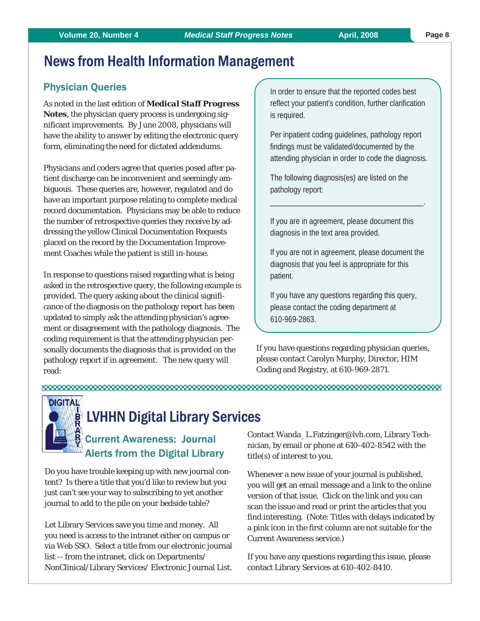# News from Health Information Management

# Physician Queries

As noted in the last edition of *Medical Staff Progress Notes*, the physician query process is undergoing significant improvements. By June 2008, physicians will have the ability to answer by editing the electronic query form, eliminating the need for dictated addendums.

Physicians and coders agree that queries posed after patient discharge can be inconvenient and seemingly ambiguous. These queries are, however, regulated and do have an important purpose relating to complete medical record documentation. Physicians may be able to reduce the number of retrospective queries they receive by addressing the yellow Clinical Documentation Requests placed on the record by the Documentation Improvement Coaches while the patient is still in-house.

In response to questions raised regarding what is being asked in the retrospective query, the following example is provided. The query asking about the clinical significance of the diagnosis on the pathology report has been updated to simply ask the attending physician's agreement or disagreement with the pathology diagnosis. The coding requirement is that the attending physician personally documents the diagnosis that is provided on the pathology report if in agreement. The new query will read:

In order to ensure that the reported codes best reflect your patient's condition, further clarification is required.

Per inpatient coding guidelines, pathology report findings must be validated/documented by the attending physician in order to code the diagnosis.

The following diagnosis(es) are listed on the pathology report:

If you are in agreement, please document this diagnosis in the text area provided.

\_\_\_\_\_\_\_\_\_\_\_\_\_\_\_\_\_\_\_\_\_\_\_\_\_\_\_\_\_\_\_\_\_\_\_\_\_\_\_.

If you are not in agreement, please document the diagnosis that you feel is appropriate for this patient.

If you have any questions regarding this query, please contact the coding department at 610-969-2863.

If you have questions regarding physician queries, please contact Carolyn Murphy, Director, HIM Coding and Registry, at 610-969-2871.

#### 



# LVHHN Digital Library Services

# Current Awareness: Journal Alerts from the Digital Library

Do you have trouble keeping up with new journal content? Is there a title that you'd like to review but you just can't see your way to subscribing to yet another journal to add to the pile on your bedside table?

Let Library Services save you time and money. All you need is access to the intranet either on campus or via Web SSO. Select a title from our electronic journal list -- from the intranet, click on Departments/ NonClinical/Library Services/ Electronic Journal List. Contact Wanda\_L.Fatzinger@lvh.com, Library Technician, by email or phone at 610-402-8542 with the title(s) of interest to you.

Whenever a new issue of your journal is published, you will get an email message and a link to the online version of that issue. Click on the link and you can scan the issue and read or print the articles that you find interesting. (Note: Titles with delays indicated by a pink icon in the first column are not suitable for the Current Awareness service.)

If you have any questions regarding this issue, please contact Library Services at 610-402-8410.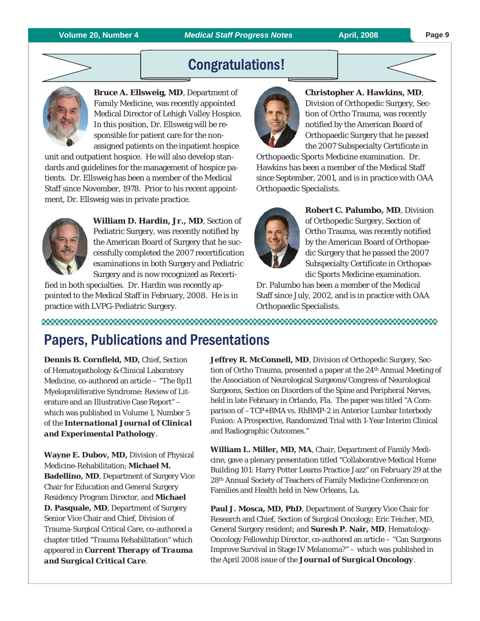#### **Page 9**

# Congratulations!



**Bruce A. Ellsweig, MD**, Department of Family Medicine, was recently appointed Medical Director of Lehigh Valley Hospice. In this position, Dr. Ellsweig will be responsible for patient care for the nonassigned patients on the inpatient hospice

unit and outpatient hospice. He will also develop standards and guidelines for the management of hospice patients. Dr. Ellsweig has been a member of the Medical Staff since November, 1978. Prior to his recent appointment, Dr. Ellsweig was in private practice.



**William D. Hardin, Jr., MD**, Section of Pediatric Surgery, was recently notified by the American Board of Surgery that he successfully completed the 2007 recertification examinations in both Surgery and Pediatric Surgery and is now recognized as Recerti-

fied in both specialties. Dr. Hardin was recently appointed to the Medical Staff in February, 2008. He is in practice with LVPG-Pediatric Surgery.



**Christopher A. Hawkins, MD**,

Division of Orthopedic Surgery, Section of Ortho Trauma, was recently notified by the American Board of Orthopaedic Surgery that he passed the 2007 Subspecialty Certificate in

Orthopaedic Sports Medicine examination. Dr. Hawkins has been a member of the Medical Staff since September, 2001, and is in practice with OAA Orthopaedic Specialists.



**Robert C. Palumbo, MD**, Division of Orthopedic Surgery, Section of Ortho Trauma, was recently notified by the American Board of Orthopaedic Surgery that he passed the 2007 Subspecialty Certificate in Orthopaedic Sports Medicine examination.

Dr. Palumbo has been a member of the Medical Staff since July, 2002, and is in practice with OAA Orthopaedic Specialists.

### 

# Papers, Publications and Presentations

**Dennis B. Cornfield, MD,** Chief, Section of Hematopathology & Clinical Laboratory Medicine, co-authored an article – "The 8p11 Myeloproliferative Syndrome: Review of Literature and an Illustrative Case Report" – which was published in Volume 1, Number 5 of the *International Journal of Clinical and Experimental Pathology*.

**Wayne E. Dubov, MD,** Division of Physical Medicine-Rehabilitation; **Michael M. Badellino, MD**, Department of Surgery Vice Chair for Education and General Surgery Residency Program Director, and **Michael D. Pasquale, MD**, Department of Surgery Senior Vice Chair and Chief, Division of Trauma-Surgical Critical Care, co-authored a chapter titled "Trauma Rehabilitation" which appeared in *Current Therapy of Trauma and Surgical Critical Care*.

**Jeffrey R. McConnell, MD**, Division of Orthopedic Surgery, Section of Ortho Trauma, presented a paper at the 24th Annual Meeting of the Association of Neurological Surgeons/Congress of Neurological Surgeons, Section on Disorders of the Spine and Peripheral Nerves, held in late February in Orlando, Fla. The paper was titled "A Comparison of –TCP+BMA vs. RhBMP-2 in Anterior Lumbar Interbody Fusion: A Prospective, Randomized Trial with 1-Year Interim Clinical and Radiographic Outcomes."

**William L. Miller, MD, MA**, Chair, Department of Family Medicine, gave a plenary presentation titled "Collaborative Medical Home Building 101: Harry Potter Learns Practice Jazz" on February 29 at the 28th Annual Society of Teachers of Family Medicine Conference on Families and Health held in New Orleans, La.

**Paul J. Mosca, MD, PhD**, Department of Surgery Vice Chair for Research and Chief, Section of Surgical Oncology; Eric Teicher, MD, General Surgery resident; and **Suresh P. Nair, MD**, Hematology-Oncology Fellowship Director, co-authored an article – "Can Surgeons Improve Survival in Stage IV Melanoma?" – which was published in the April 2008 issue of the *Journal of Surgical Oncology*.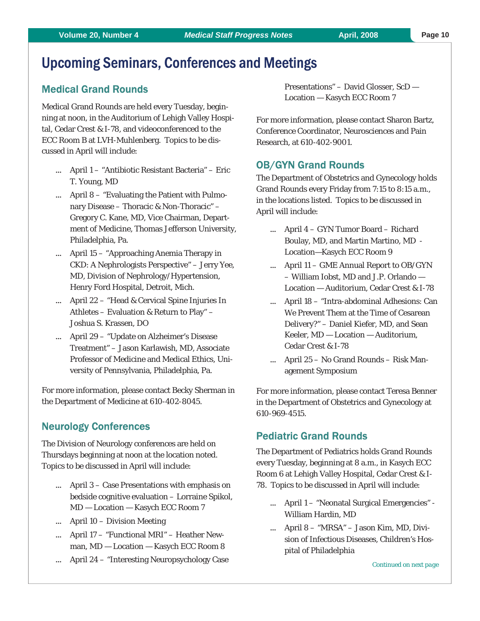# Upcoming Seminars, Conferences and Meetings

# Medical Grand Rounds

Medical Grand Rounds are held every Tuesday, beginning at noon, in the Auditorium of Lehigh Valley Hospital, Cedar Crest & I-78, and videoconferenced to the ECC Room B at LVH-Muhlenberg. Topics to be discussed in April will include:

- April 1 "Antibiotic Resistant Bacteria" Eric T. Young, MD
- $\ldots$  April 8 "Evaluating the Patient with Pulmonary Disease – Thoracic & Non-Thoracic" – Gregory C. Kane, MD, Vice Chairman, Department of Medicine, Thomas Jefferson University, Philadelphia, Pa.
- April 15 "Approaching Anemia Therapy in CKD: A Nephrologists Perspective" – Jerry Yee, MD, Division of Nephrology/Hypertension, Henry Ford Hospital, Detroit, Mich.
- April 22 "Head & Cervical Spine Injuries In Athletes – Evaluation & Return to Play" – Joshua S. Krassen, DO
- April 29 "Update on Alzheimer's Disease Treatment" – Jason Karlawish, MD, Associate Professor of Medicine and Medical Ethics, University of Pennsylvania, Philadelphia, Pa.

For more information, please contact Becky Sherman in the Department of Medicine at 610-402-8045.

# Neurology Conferences

The Division of Neurology conferences are held on Thursdays beginning at noon at the location noted. Topics to be discussed in April will include:

- $\ldots$  April 3 Case Presentations with emphasis on bedside cognitive evaluation – Lorraine Spikol, MD — Location — Kasych ECC Room 7
- April 10 Division Meeting
- April 17 "Functional MRI" Heather Newman, MD — Location — Kasych ECC Room 8
- April 24 "Interesting Neuropsychology Case

Presentations" – David Glosser, ScD — Location — Kasych ECC Room 7

For more information, please contact Sharon Bartz, Conference Coordinator, Neurosciences and Pain Research, at 610-402-9001.

# OB/GYN Grand Rounds

The Department of Obstetrics and Gynecology holds Grand Rounds every Friday from 7:15 to 8:15 a.m., in the locations listed. Topics to be discussed in April will include:

- April 4 GYN Tumor Board Richard Boulay, MD, and Martin Martino, MD - Location—Kasych ECC Room 9
- April 11 GME Annual Report to OB/GYN – William Iobst, MD and J.P. Orlando — Location — Auditorium, Cedar Crest & I-78
- April 18 "Intra-abdominal Adhesions: Can We Prevent Them at the Time of Cesarean Delivery?" – Daniel Kiefer, MD, and Sean Keeler, MD — Location — Auditorium, Cedar Crest & I-78
- $\ldots$  April 25 No Grand Rounds Risk Management Symposium

For more information, please contact Teresa Benner in the Department of Obstetrics and Gynecology at 610-969-4515.

# Pediatric Grand Rounds

The Department of Pediatrics holds Grand Rounds every Tuesday, beginning at 8 a.m., in Kasych ECC Room 6 at Lehigh Valley Hospital, Cedar Crest & I-78. Topics to be discussed in April will include:

- April 1 "Neonatal Surgical Emergencies" William Hardin, MD
- April 8 "MRSA" Jason Kim, MD, Division of Infectious Diseases, Children's Hospital of Philadelphia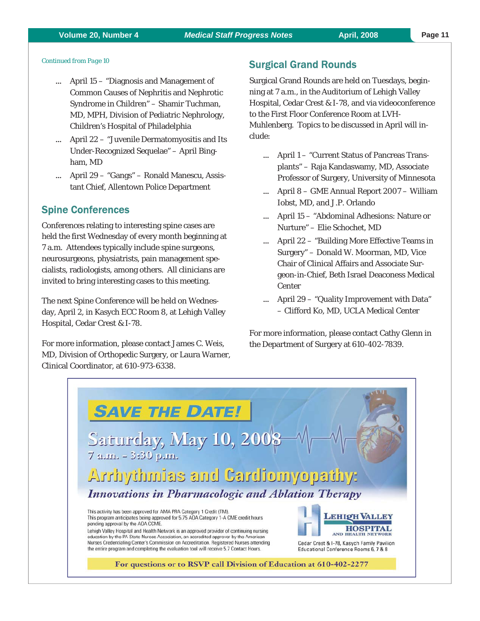#### **Volume 20, Number 4** *Medical Staff Progress Notes* **April, 2008**

#### *Continued from Page 10*

- April 15 "Diagnosis and Management of Common Causes of Nephritis and Nephrotic Syndrome in Children" – Shamir Tuchman, MD, MPH, Division of Pediatric Nephrology, Children's Hospital of Philadelphia
- April 22 "Juvenile Dermatomyositis and Its Under-Recognized Sequelae" – April Bingham, MD
- April 29 "Gangs" Ronald Manescu, Assistant Chief, Allentown Police Department

### Spine Conferences

Conferences relating to interesting spine cases are held the first Wednesday of every month beginning at 7 a.m. Attendees typically include spine surgeons, neurosurgeons, physiatrists, pain management specialists, radiologists, among others. All clinicians are invited to bring interesting cases to this meeting.

The next Spine Conference will be held on Wednesday, April 2, in Kasych ECC Room 8, at Lehigh Valley Hospital, Cedar Crest & I-78.

For more information, please contact James C. Weis, MD, Division of Orthopedic Surgery, or Laura Warner, Clinical Coordinator, at 610-973-6338.

# Surgical Grand Rounds

Surgical Grand Rounds are held on Tuesdays, beginning at 7 a.m., in the Auditorium of Lehigh Valley Hospital, Cedar Crest & I-78, and via videoconference to the First Floor Conference Room at LVH-Muhlenberg. Topics to be discussed in April will include:

- April 1 "Current Status of Pancreas Transplants" – Raja Kandaswamy, MD, Associate Professor of Surgery, University of Minnesota
- April 8 GME Annual Report 2007 William Iobst, MD, and J.P. Orlando
- April 15 "Abdominal Adhesions: Nature or Nurture" – Elie Schochet, MD
- April 22 "Building More Effective Teams in Surgery" – Donald W. Moorman, MD, Vice Chair of Clinical Affairs and Associate Surgeon-in-Chief, Beth Israel Deaconess Medical Center
- April 29 "Quality Improvement with Data" – Clifford Ko, MD, UCLA Medical Center

For more information, please contact Cathy Glenn in the Department of Surgery at 610-402-7839.

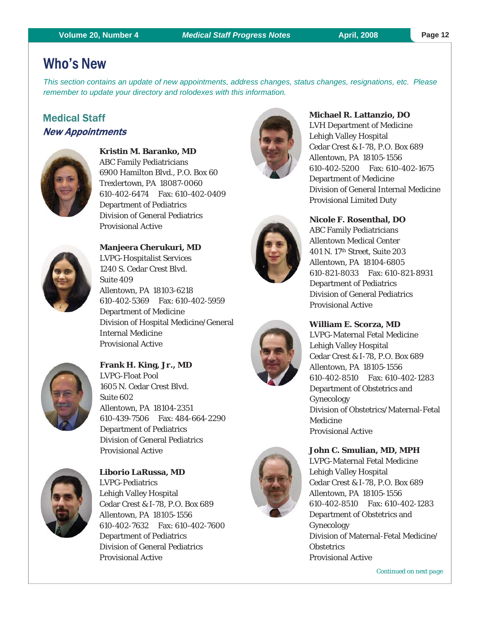# Who's New

*This section contains an update of new appointments, address changes, status changes, resignations, etc. Please remember to update your directory and rolodexes with this information.*

# Medical Staff New Appointments



**Kristin M. Baranko, MD**  ABC Family Pediatricians 6900 Hamilton Blvd., P.O. Box 60 Trexlertown, PA 18087-0060 610-402-6474 Fax: 610-402-0409 Department of Pediatrics Division of General Pediatrics Provisional Active



**Manjeera Cherukuri, MD**  LVPG-Hospitalist Services 1240 S. Cedar Crest Blvd. Suite 409 Allentown, PA 18103-6218 610-402-5369 Fax: 610-402-5959 Department of Medicine Division of Hospital Medicine/General Internal Medicine Provisional Active



**Frank H. King, Jr., MD**  LVPG-Float Pool 1605 N. Cedar Crest Blvd. Suite 602 Allentown, PA 18104-2351 610-439-7506 Fax: 484-664-2290 Department of Pediatrics Division of General Pediatrics Provisional Active



**Liborio LaRussa, MD**  LVPG-Pediatrics Lehigh Valley Hospital Cedar Crest & I-78, P.O. Box 689 Allentown, PA 18105-1556 610-402-7632 Fax: 610-402-7600 Department of Pediatrics Division of General Pediatrics Provisional Active









# **Michael R. Lattanzio, DO**

LVH Department of Medicine Lehigh Valley Hospital Cedar Crest & I-78, P.O. Box 689 Allentown, PA 18105-1556 610-402-5200 Fax: 610-402-1675 Department of Medicine Division of General Internal Medicine Provisional Limited Duty

# **Nicole F. Rosenthal, DO**

ABC Family Pediatricians Allentown Medical Center 401 N. 17th Street, Suite 203 Allentown, PA 18104-6805 610-821-8033 Fax: 610-821-8931 Department of Pediatrics Division of General Pediatrics Provisional Active

# **William E. Scorza, MD**

LVPG-Maternal Fetal Medicine Lehigh Valley Hospital Cedar Crest & I-78, P.O. Box 689 Allentown, PA 18105-1556 610-402-8510 Fax: 610-402-1283 Department of Obstetrics and Gynecology Division of Obstetrics/Maternal-Fetal Medicine Provisional Active

### **John C. Smulian, MD, MPH**

LVPG-Maternal Fetal Medicine Lehigh Valley Hospital Cedar Crest & I-78, P.O. Box 689 Allentown, PA 18105-1556 610-402-8510 Fax: 610-402-1283 Department of Obstetrics and Gynecology Division of Maternal-Fetal Medicine/ **Obstetrics** Provisional Active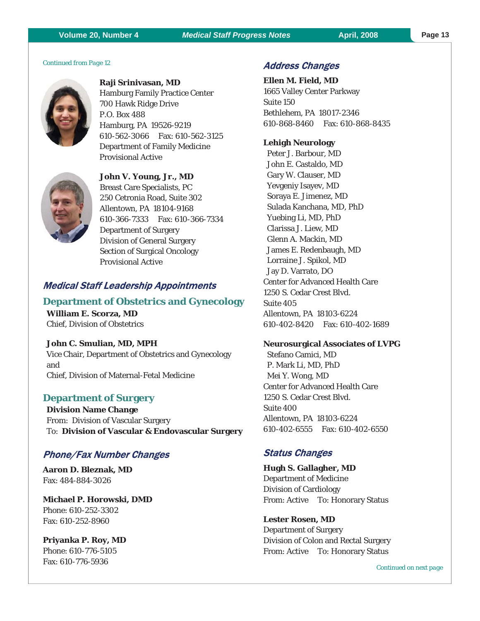### **Volume 20, Number 4** *Medical Staff Progress Notes* **April, 2008 Page 13**

*Continued from Page 12* 



**Raji Srinivasan, MD**  Hamburg Family Practice Center 700 Hawk Ridge Drive P.O. Box 488 Hamburg, PA 19526-9219 610-562-3066 Fax: 610-562-3125 Department of Family Medicine Provisional Active



**John V. Young, Jr., MD**  Breast Care Specialists, PC 250 Cetronia Road, Suite 302 Allentown, PA 18104-9168 610-366-7333 Fax: 610-366-7334 Department of Surgery Division of General Surgery Section of Surgical Oncology Provisional Active

# Medical Staff Leadership Appointments

# **Department of Obstetrics and Gynecology William E. Scorza, MD**  Chief, Division of Obstetrics

**John C. Smulian, MD, MPH**  Vice Chair, Department of Obstetrics and Gynecology and Chief, Division of Maternal-Fetal Medicine

# **Department of Surgery**

**Division Name Change**  From: Division of Vascular Surgery To: **Division of Vascular & Endovascular Surgery** 

# Phone/Fax Number Changes

**Aaron D. Bleznak, MD**  Fax: 484-884-3026

**Michael P. Horowski, DMD**  Phone: 610-252-3302 Fax: 610-252-8960

**Priyanka P. Roy, MD**  Phone: 610-776-5105 Fax: 610-776-5936

# Address Changes

**Ellen M. Field, MD**  1665 Valley Center Parkway Suite 150 Bethlehem, PA 18017-2346 610-868-8460 Fax: 610-868-8435

### **Lehigh Neurology**

 Peter J. Barbour, MD John E. Castaldo, MD Gary W. Clauser, MD Yevgeniy Isayev, MD Soraya E. Jimenez, MD Sulada Kanchana, MD, PhD Yuebing Li, MD, PhD Clarissa J. Liew, MD Glenn A. Mackin, MD James E. Redenbaugh, MD Lorraine J. Spikol, MD Jay D. Varrato, DO Center for Advanced Health Care 1250 S. Cedar Crest Blvd. Suite 405 Allentown, PA 18103-6224 610-402-8420 Fax: 610-402-1689

#### **Neurosurgical Associates of LVPG**

 Stefano Camici, MD P. Mark Li, MD, PhD Mei Y. Wong, MD Center for Advanced Health Care 1250 S. Cedar Crest Blvd. Suite 400 Allentown, PA 18103-6224 610-402-6555 Fax: 610-402-6550

## Status Changes

**Hugh S. Gallagher, MD**  Department of Medicine Division of Cardiology From: Active To: Honorary Status

**Lester Rosen, MD**  Department of Surgery Division of Colon and Rectal Surgery From: Active To: Honorary Status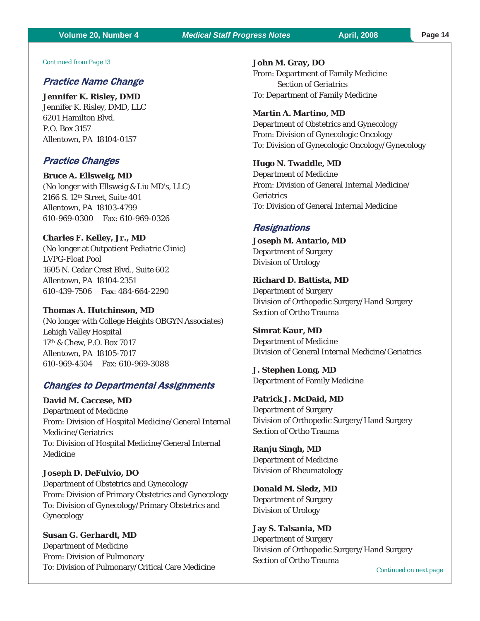### **Volume 20, Number 4** *Medical Staff Progress Notes* **April, 2008 Page 14**

#### *Continued from Page 13*

### Practice Name Change

**Jennifer K. Risley, DMD**  Jennifer K. Risley, DMD, LLC 6201 Hamilton Blvd. P.O. Box 3157 Allentown, PA 18104-0157

### Practice Changes

**Bruce A. Ellsweig, MD**  (No longer with Ellsweig & Liu MD's, LLC) 2166 S. 12th Street, Suite 401 Allentown, PA 18103-4799 610-969-0300 Fax: 610-969-0326

**Charles F. Kelley, Jr., MD** 

(No longer at Outpatient Pediatric Clinic) LVPG-Float Pool 1605 N. Cedar Crest Blvd., Suite 602 Allentown, PA 18104-2351 610-439-7506 Fax: 484-664-2290

**Thomas A. Hutchinson, MD**  (No longer with College Heights OBGYN Associates) Lehigh Valley Hospital 17th & Chew, P.O. Box 7017 Allentown, PA 18105-7017 610-969-4504 Fax: 610-969-3088

### Changes to Departmental Assignments

**David M. Caccese, MD**  Department of Medicine From: Division of Hospital Medicine/General Internal Medicine/Geriatrics To: Division of Hospital Medicine/General Internal Medicine

#### **Joseph D. DeFulvio, DO**

Department of Obstetrics and Gynecology From: Division of Primary Obstetrics and Gynecology To: Division of Gynecology/Primary Obstetrics and Gynecology

**Susan G. Gerhardt, MD**  Department of Medicine From: Division of Pulmonary To: Division of Pulmonary/Critical Care Medicine **John M. Gray, DO**  From: Department of Family Medicine Section of Geriatrics To: Department of Family Medicine

#### **Martin A. Martino, MD**

Department of Obstetrics and Gynecology From: Division of Gynecologic Oncology To: Division of Gynecologic Oncology/Gynecology

#### **Hugo N. Twaddle, MD**

Department of Medicine From: Division of General Internal Medicine/ Geriatrics To: Division of General Internal Medicine

#### **Resignations**

**Joseph M. Antario, MD**  Department of Surgery Division of Urology

#### **Richard D. Battista, MD**

Department of Surgery Division of Orthopedic Surgery/Hand Surgery Section of Ortho Trauma

**Simrat Kaur, MD**  Department of Medicine Division of General Internal Medicine/Geriatrics

**J. Stephen Long, MD**  Department of Family Medicine

**Patrick J. McDaid, MD**  Department of Surgery Division of Orthopedic Surgery/Hand Surgery Section of Ortho Trauma

**Ranju Singh, MD**  Department of Medicine Division of Rheumatology

**Donald M. Sledz, MD**  Department of Surgery Division of Urology

**Jay S. Talsania, MD**  Department of Surgery Division of Orthopedic Surgery/Hand Surgery Section of Ortho Trauma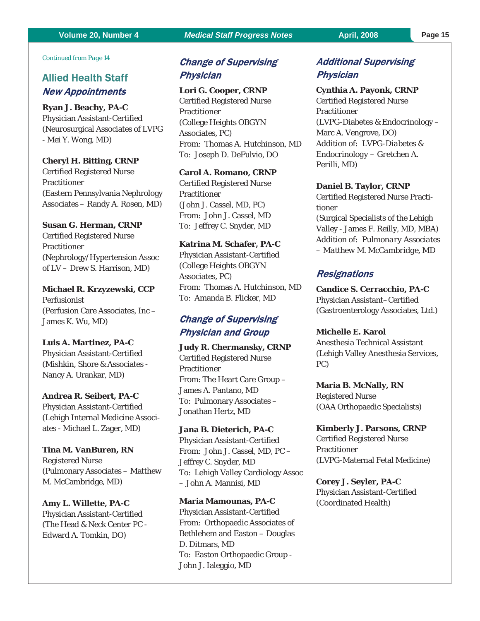*Continued from Page 14* 

# Allied Health Staff New Appointments

**Ryan J. Beachy, PA-C**  Physician Assistant-Certified (Neurosurgical Associates of LVPG - Mei Y. Wong, MD)

#### **Cheryl H. Bitting, CRNP**

Certified Registered Nurse Practitioner (Eastern Pennsylvania Nephrology Associates – Randy A. Rosen, MD)

#### **Susan G. Herman, CRNP**

Certified Registered Nurse Practitioner (Nephrology/Hypertension Assoc of LV – Drew S. Harrison, MD)

**Michael R. Krzyzewski, CCP**  Perfusionist (Perfusion Care Associates, Inc – James K. Wu, MD)

#### **Luis A. Martinez, PA-C**

Physician Assistant-Certified (Mishkin, Shore & Associates - Nancy A. Urankar, MD)

#### **Andrea R. Seibert, PA-C**

Physician Assistant-Certified (Lehigh Internal Medicine Associates - Michael L. Zager, MD)

#### **Tina M. VanBuren, RN**

Registered Nurse (Pulmonary Associates – Matthew M. McCambridge, MD)

#### **Amy L. Willette, PA-C**

Physician Assistant-Certified (The Head & Neck Center PC - Edward A. Tomkin, DO)

# Change of Supervising **Physician**

#### **Lori G. Cooper, CRNP**

Certified Registered Nurse Practitioner (College Heights OBGYN Associates, PC) From: Thomas A. Hutchinson, MD To: Joseph D. DeFulvio, DO

#### **Carol A. Romano, CRNP**

Certified Registered Nurse Practitioner (John J. Cassel, MD, PC) From: John J. Cassel, MD To: Jeffrey C. Snyder, MD

#### **Katrina M. Schafer, PA-C**

Physician Assistant-Certified (College Heights OBGYN Associates, PC) From: Thomas A. Hutchinson, MD To: Amanda B. Flicker, MD

# Change of Supervising Physician and Group

**Judy R. Chermansky, CRNP**  Certified Registered Nurse **Practitioner** From: The Heart Care Group – James A. Pantano, MD To: Pulmonary Associates – Jonathan Hertz, MD

### **Jana B. Dieterich, PA-C**  Physician Assistant-Certified From: John J. Cassel, MD, PC – Jeffrey C. Snyder, MD To: Lehigh Valley Cardiology Assoc – John A. Mannisi, MD

**Maria Mamounas, PA-C**  Physician Assistant-Certified From: Orthopaedic Associates of Bethlehem and Easton – Douglas D. Ditmars, MD To: Easton Orthopaedic Group - John J. Ialeggio, MD

# Additional Supervising **Physician**

**Cynthia A. Payonk, CRNP**  Certified Registered Nurse Practitioner (LVPG-Diabetes & Endocrinology – Marc A. Vengrove, DO) *Addition of: LVPG-Diabetes & Endocrinology – Gretchen A. Perilli, MD)* 

#### **Daniel B. Taylor, CRNP**

Certified Registered Nurse Practitioner (Surgical Specialists of the Lehigh Valley - James F. Reilly, MD, MBA) *Addition of: Pulmonary Associates – Matthew M. McCambridge, MD* 

#### **Resignations**

**Candice S. Cerracchio, PA-C**  Physician Assistant–Certified (Gastroenterology Associates, Ltd.)

**Michelle E. Karol**  Anesthesia Technical Assistant (Lehigh Valley Anesthesia Services, PC)

**Maria B. McNally, RN**  Registered Nurse (OAA Orthopaedic Specialists)

**Kimberly J. Parsons, CRNP**  Certified Registered Nurse **Practitioner** (LVPG-Maternal Fetal Medicine)

**Corey J. Seyler, PA-C**  Physician Assistant-Certified (Coordinated Health)